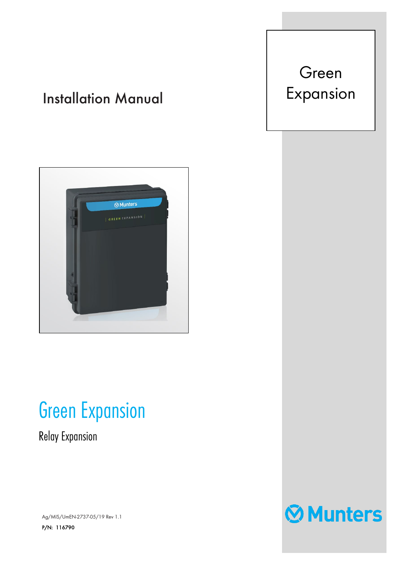## Installation Manual





## Green Expansion

Relay Expansion

Ag/MIS/UmEN-2737-05/19 Rev 1.1 P/N: 116790

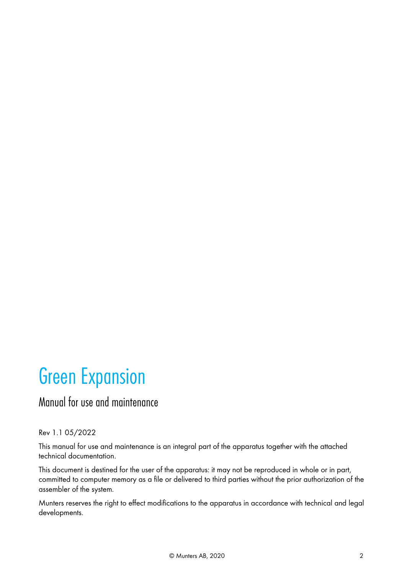# **Green Expansion**<br> **Manual for use and maintenance**

#### Rev 1.1 05/2022

This manual for use and maintenance is an integral part of the apparatus together with the attached technical documentation.

This document is destined for the user of the apparatus: it may not be reproduced in whole or in part, committed to computer memory as a file or delivered to third parties without the prior authorization of the assembler of the system.

Munters reserves the right to effect modifications to the apparatus in accordance with technical and legal developments.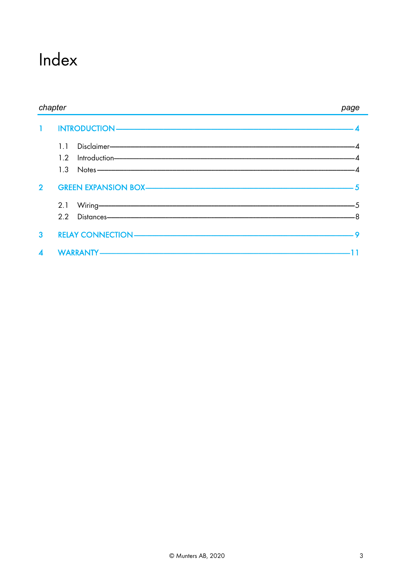## Index

| chapter          |                                                                                                                                                                                                                                              | page |  |
|------------------|----------------------------------------------------------------------------------------------------------------------------------------------------------------------------------------------------------------------------------------------|------|--|
|                  |                                                                                                                                                                                                                                              |      |  |
|                  | Disclaimer-<br>11                                                                                                                                                                                                                            |      |  |
|                  | $Introduction$ 4<br>1.2 <sub>2</sub>                                                                                                                                                                                                         |      |  |
|                  | $1.3$ Notes $-$ 4                                                                                                                                                                                                                            |      |  |
| 2 <sup>1</sup>   |                                                                                                                                                                                                                                              |      |  |
|                  | Wiring- <b>Contract Contract Contract Contract Contract Contract Contract Contract Contract Contract Contract Contract Contract Contract Contract Contract Contract Contract Contract Contract Contract Contract Contract Contrac</b><br>2.1 |      |  |
|                  | 2.2 Distances-8                                                                                                                                                                                                                              |      |  |
| 3                |                                                                                                                                                                                                                                              |      |  |
| $\blacktriangle$ |                                                                                                                                                                                                                                              |      |  |

۰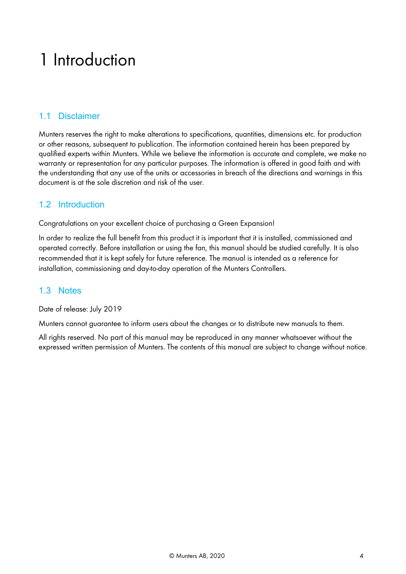## <span id="page-3-0"></span>1 Introduction

### <span id="page-3-1"></span>1.1 Disclaimer

Munters reserves the right to make alterations to specifications, quantities, dimensions etc. for production or other reasons, subsequent to publication. The information contained herein has been prepared by qualified experts within Munters. While we believe the information is accurate and complete, we make no warranty or representation for any particular purposes. The information is offered in good faith and with the understanding that any use of the units or accessories in breach of the directions and warnings in this document is at the sole discretion and risk of the user.

### <span id="page-3-2"></span>1.2 Introduction

Congratulations on your excellent choice of purchasing a Green Expansion!

In order to realize the full benefit from this product it is important that it is installed, commissioned and operated correctly. Before installation or using the fan, this manual should be studied carefully. It is also recommended that it is kept safely for future reference. The manual is intended as a reference for installation, commissioning and day-to-day operation of the Munters Controllers.

#### <span id="page-3-3"></span>1.3 Notes

Date of release: July 2019

Munters cannot guarantee to inform users about the changes or to distribute new manuals to them.

All rights reserved. No part of this manual may be reproduced in any manner whatsoever without the expressed written permission of Munters. The contents of this manual are subject to change without notice.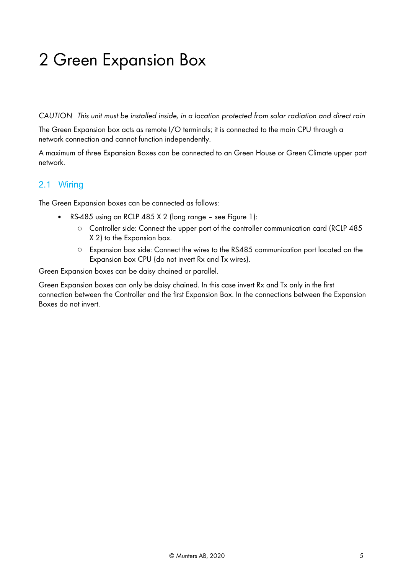## <span id="page-4-0"></span>2 Green Expansion Box

*CAUTION This unit must be installed inside, in a location protected from solar radiation and direct rain*

The Green Expansion box acts as remote I/O terminals; it is connected to the main CPU through a network connection and cannot function independently.

A maximum of three Expansion Boxes can be connected to an Green House or Green Climate upper port network.

### <span id="page-4-1"></span>2.1 Wiring

The Green Expansion boxes can be connected as follows:

- RS-485 using an RCLP 485 X 2 (long range see [Figure 1\)](#page-5-0):
	- o Controller side: Connect the upper port of the controller communication card (RCLP 485 X 2) to the Expansion box.
	- o Expansion box side: Connect the wires to the RS485 communication port located on the Expansion box CPU (do not invert Rx and Tx wires).

Green Expansion boxes can be daisy chained or parallel.

Green Expansion boxes can only be daisy chained. In this case invert Rx and Tx only in the first connection between the Controller and the first Expansion Box. In the connections between the Expansion Boxes do not invert.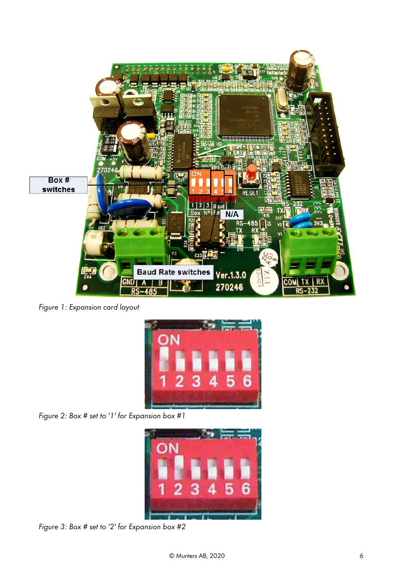

*Figure 1: Expansion card layout* 

<span id="page-5-0"></span>

*Figure 2: Box # set to '1' for Expansion box #1* 



*Figure 3: Box # set to '2' for Expansion box #2*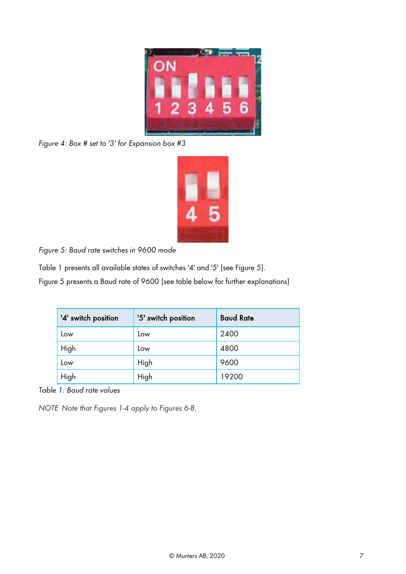

*Figure 4: Box # set to '3' for Expansion box #3* 

*Figure 5: Baud rate switches in 9600 mode*

Table 1 presents all available states of switches '4' and '5' (see Figure 5).

Figure 5 presents a Baud rate of 9600 (see table below for further explanations)

| '4' switch position | '5' switch position | <b>Baud Rate</b> |
|---------------------|---------------------|------------------|
| Low                 | Low                 | 2400             |
| High                | Low                 | 4800             |
| Low                 | High                | 9600             |
| High                | High                | 19200            |

*Table 1: Baud rate values*

*NOTE Note that Figures 1-4 apply to Figures 6-8.*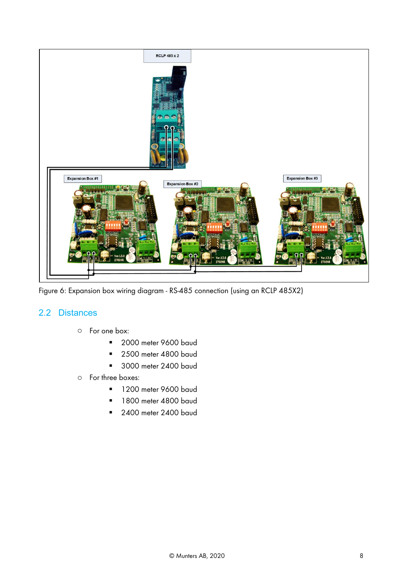

Figure 6: Expansion box wiring diagram - RS-485 connection (using an RCLP 485X2)

#### <span id="page-7-0"></span>2.2 Distances

- o For one box:
	- **2000 meter 9600 baud**
	- 2500 meter 4800 baud
	- **3000 meter 2400 baud**
- o For three boxes:
	- **1200 meter 9600 baud**
	- 1800 meter 4800 baud
	- 2400 meter 2400 baud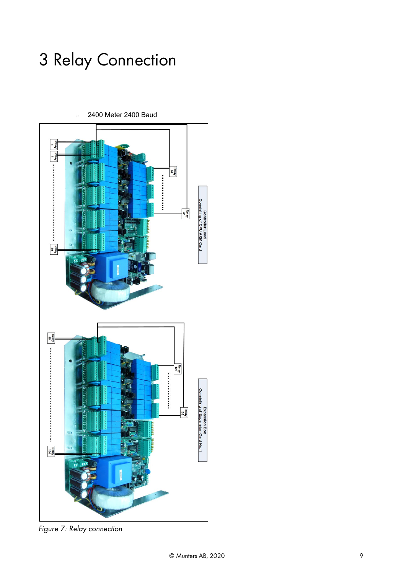## <span id="page-8-0"></span>3 Relay Connection



o 2400 Meter 2400 Baud

*Figure 7: Relay connection*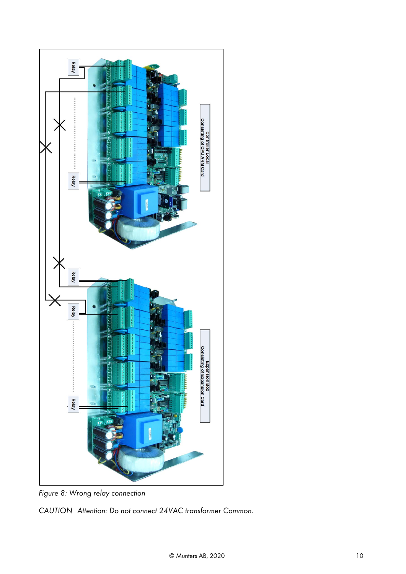

*Figure 8: Wrong relay connection*

*CAUTION Attention: Do not connect 24VAC transformer Common.*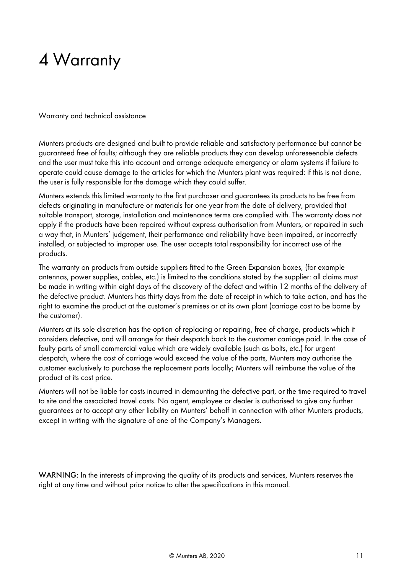## <span id="page-10-0"></span>4 Warranty

Warranty and technical assistance

Munters products are designed and built to provide reliable and satisfactory performance but cannot be guaranteed free of faults; although they are reliable products they can develop unforeseenable defects and the user must take this into account and arrange adequate emergency or alarm systems if failure to operate could cause damage to the articles for which the Munters plant was required: if this is not done, the user is fully responsible for the damage which they could suffer.

Munters extends this limited warranty to the first purchaser and guarantees its products to be free from defects originating in manufacture or materials for one year from the date of delivery, provided that suitable transport, storage, installation and maintenance terms are complied with. The warranty does not apply if the products have been repaired without express authorisation from Munters, or repaired in such a way that, in Munters' judgement, their performance and reliability have been impaired, or incorrectly installed, or subjected to improper use. The user accepts total responsibility for incorrect use of the products.

The warranty on products from outside suppliers fitted to the Green Expansion boxes, (for example antennas, power supplies, cables, etc.) is limited to the conditions stated by the supplier: all claims must be made in writing within eight days of the discovery of the defect and within 12 months of the delivery of the defective product. Munters has thirty days from the date of receipt in which to take action, and has the right to examine the product at the customer's premises or at its own plant (carriage cost to be borne by the customer).

Munters at its sole discretion has the option of replacing or repairing, free of charge, products which it considers defective, and will arrange for their despatch back to the customer carriage paid. In the case of faulty parts of small commercial value which are widely available (such as bolts, etc.) for urgent despatch, where the cost of carriage would exceed the value of the parts, Munters may authorise the customer exclusively to purchase the replacement parts locally; Munters will reimburse the value of the product at its cost price.

Munters will not be liable for costs incurred in demounting the defective part, or the time required to travel to site and the associated travel costs. No agent, employee or dealer is authorised to give any further guarantees or to accept any other liability on Munters' behalf in connection with other Munters products, except in writing with the signature of one of the Company's Managers.

WARNING: In the interests of improving the quality of its products and services, Munters reserves the right at any time and without prior notice to alter the specifications in this manual.